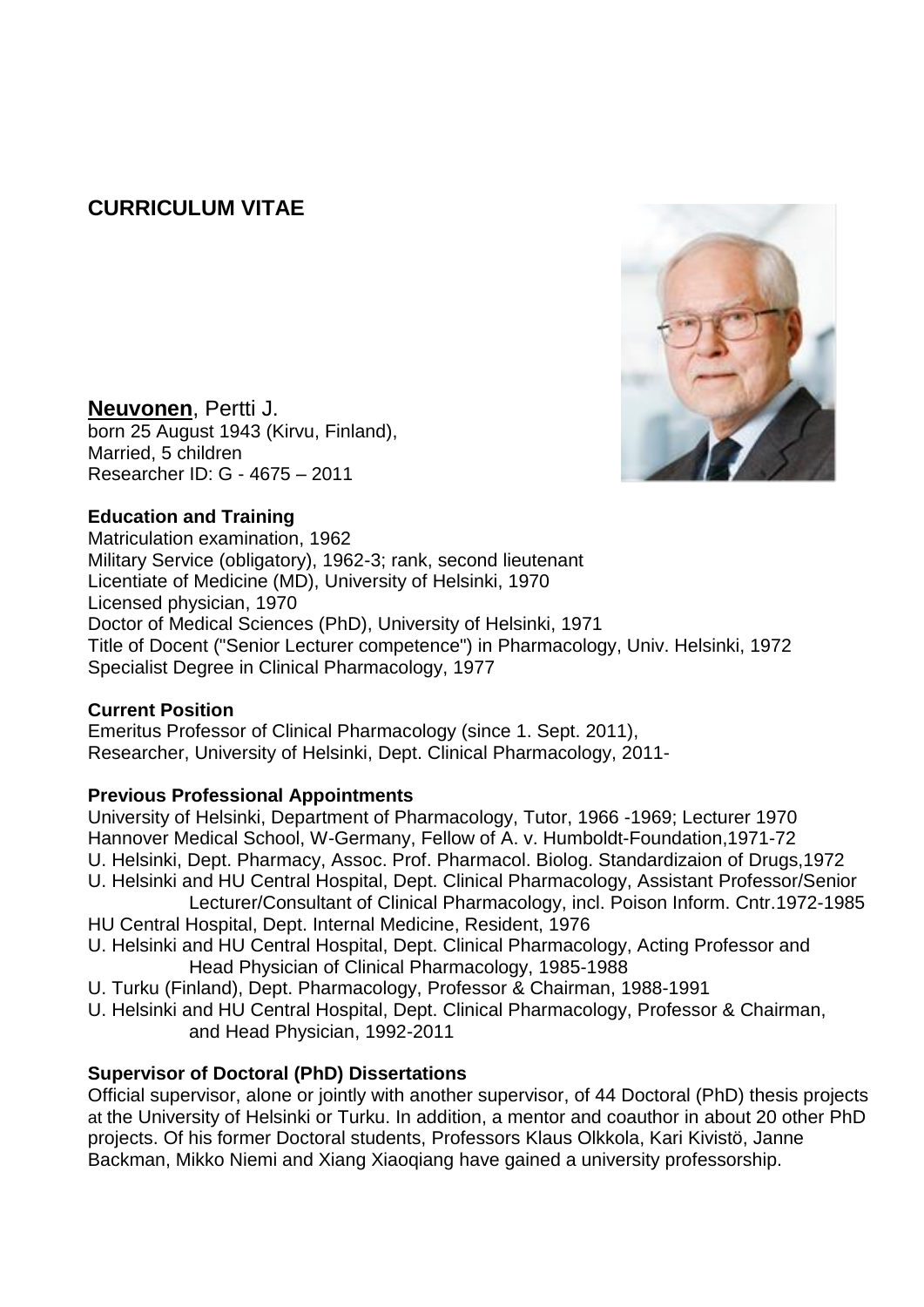# **CURRICULUM VITAE**



**Neuvonen**, Pertti J. born 25 August 1943 (Kirvu, Finland), Married, 5 children Researcher ID: G - 4675 – 2011

# **Education and Training**

Matriculation examination, 1962 Military Service (obligatory), 1962-3; rank, second lieutenant Licentiate of Medicine (MD), University of Helsinki, 1970 Licensed physician, 1970 Doctor of Medical Sciences (PhD), University of Helsinki, 1971 Title of Docent ("Senior Lecturer competence") in Pharmacology, Univ. Helsinki, 1972 Specialist Degree in Clinical Pharmacology, 1977

# **Current Position**

Emeritus Professor of Clinical Pharmacology (since 1. Sept. 2011), Researcher, University of Helsinki, Dept. Clinical Pharmacology, 2011-

# **Previous Professional Appointments**

University of Helsinki, Department of Pharmacology, Tutor, 1966 -1969; Lecturer 1970 Hannover Medical School, W-Germany, Fellow of A. v. Humboldt-Foundation,1971-72 U. Helsinki, Dept. Pharmacy, Assoc. Prof. Pharmacol. Biolog. Standardizaion of Drugs,1972 U. Helsinki and HU Central Hospital, Dept. Clinical Pharmacology, Assistant Professor/Senior Lecturer/Consultant of Clinical Pharmacology, incl. Poison Inform. Cntr.1972-1985 HU Central Hospital, Dept. Internal Medicine, Resident, 1976

- U. Helsinki and HU Central Hospital, Dept. Clinical Pharmacology, Acting Professor and Head Physician of Clinical Pharmacology, 1985-1988
- U. Turku (Finland), Dept. Pharmacology, Professor & Chairman, 1988-1991
- U. Helsinki and HU Central Hospital, Dept. Clinical Pharmacology, Professor & Chairman, and Head Physician, 1992-2011

# **Supervisor of Doctoral (PhD) Dissertations**

Official supervisor, alone or jointly with another supervisor, of 44 Doctoral (PhD) thesis projects at the University of Helsinki or Turku. In addition, a mentor and coauthor in about 20 other PhD projects. Of his former Doctoral students, Professors Klaus Olkkola, Kari Kivistö, Janne Backman, Mikko Niemi and Xiang Xiaoqiang have gained a university professorship.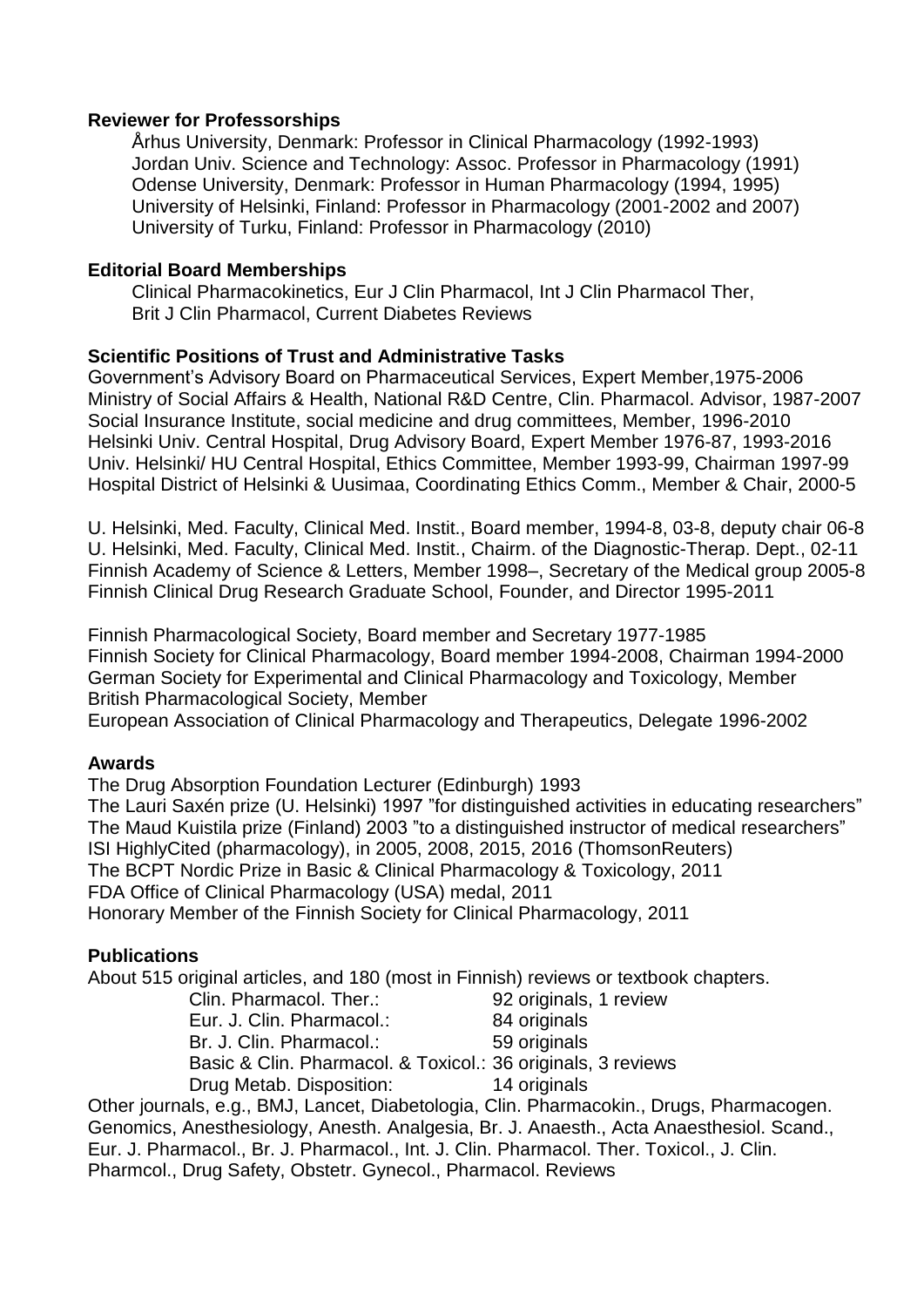### **Reviewer for Professorships**

Århus University, Denmark: Professor in Clinical Pharmacology (1992-1993) Jordan Univ. Science and Technology: Assoc. Professor in Pharmacology (1991) Odense University, Denmark: Professor in Human Pharmacology (1994, 1995) University of Helsinki, Finland: Professor in Pharmacology (2001-2002 and 2007) University of Turku, Finland: Professor in Pharmacology (2010)

#### **Editorial Board Memberships**

Clinical Pharmacokinetics, Eur J Clin Pharmacol, Int J Clin Pharmacol Ther, Brit J Clin Pharmacol, Current Diabetes Reviews

#### **Scientific Positions of Trust and Administrative Tasks**

Government's Advisory Board on Pharmaceutical Services, Expert Member,1975-2006 Ministry of Social Affairs & Health, National R&D Centre, Clin. Pharmacol. Advisor, 1987-2007 Social Insurance Institute, social medicine and drug committees, Member, 1996-2010 Helsinki Univ. Central Hospital, Drug Advisory Board, Expert Member 1976-87, 1993-2016 Univ. Helsinki/ HU Central Hospital, Ethics Committee, Member 1993-99, Chairman 1997-99 Hospital District of Helsinki & Uusimaa, Coordinating Ethics Comm., Member & Chair, 2000-5

U. Helsinki, Med. Faculty, Clinical Med. Instit., Board member, 1994-8, 03-8, deputy chair 06-8 U. Helsinki, Med. Faculty, Clinical Med. Instit., Chairm. of the Diagnostic-Therap. Dept., 02-11 Finnish Academy of Science & Letters, Member 1998–, Secretary of the Medical group 2005-8 Finnish Clinical Drug Research Graduate School, Founder, and Director 1995-2011

Finnish Pharmacological Society, Board member and Secretary 1977-1985 Finnish Society for Clinical Pharmacology, Board member 1994-2008, Chairman 1994-2000 German Society for Experimental and Clinical Pharmacology and Toxicology, Member British Pharmacological Society, Member

European Association of Clinical Pharmacology and Therapeutics, Delegate 1996-2002

### **Awards**

The Drug Absorption Foundation Lecturer (Edinburgh) 1993 The Lauri Saxén prize (U. Helsinki) 1997 "for distinguished activities in educating researchers" The Maud Kuistila prize (Finland) 2003 "to a distinguished instructor of medical researchers" ISI HighlyCited (pharmacology), in 2005, 2008, 2015, 2016 (ThomsonReuters) The BCPT Nordic Prize in Basic & Clinical Pharmacology & Toxicology, 2011 FDA Office of Clinical Pharmacology (USA) medal, 2011 Honorary Member of the Finnish Society for Clinical Pharmacology, 2011

### **Publications**

About 515 original articles, and 180 (most in Finnish) reviews or textbook chapters.

| 92 originals, 1 review                                       |
|--------------------------------------------------------------|
| 84 originals                                                 |
| 59 originals                                                 |
| Basic & Clin. Pharmacol. & Toxicol.: 36 originals, 3 reviews |
| 14 originals                                                 |
|                                                              |

Other journals, e.g., BMJ, Lancet, Diabetologia, Clin. Pharmacokin., Drugs, Pharmacogen. Genomics, Anesthesiology, Anesth. Analgesia, Br. J. Anaesth., Acta Anaesthesiol. Scand., Eur. J. Pharmacol., Br. J. Pharmacol., Int. J. Clin. Pharmacol. Ther. Toxicol., J. Clin. Pharmcol., Drug Safety, Obstetr. Gynecol., Pharmacol. Reviews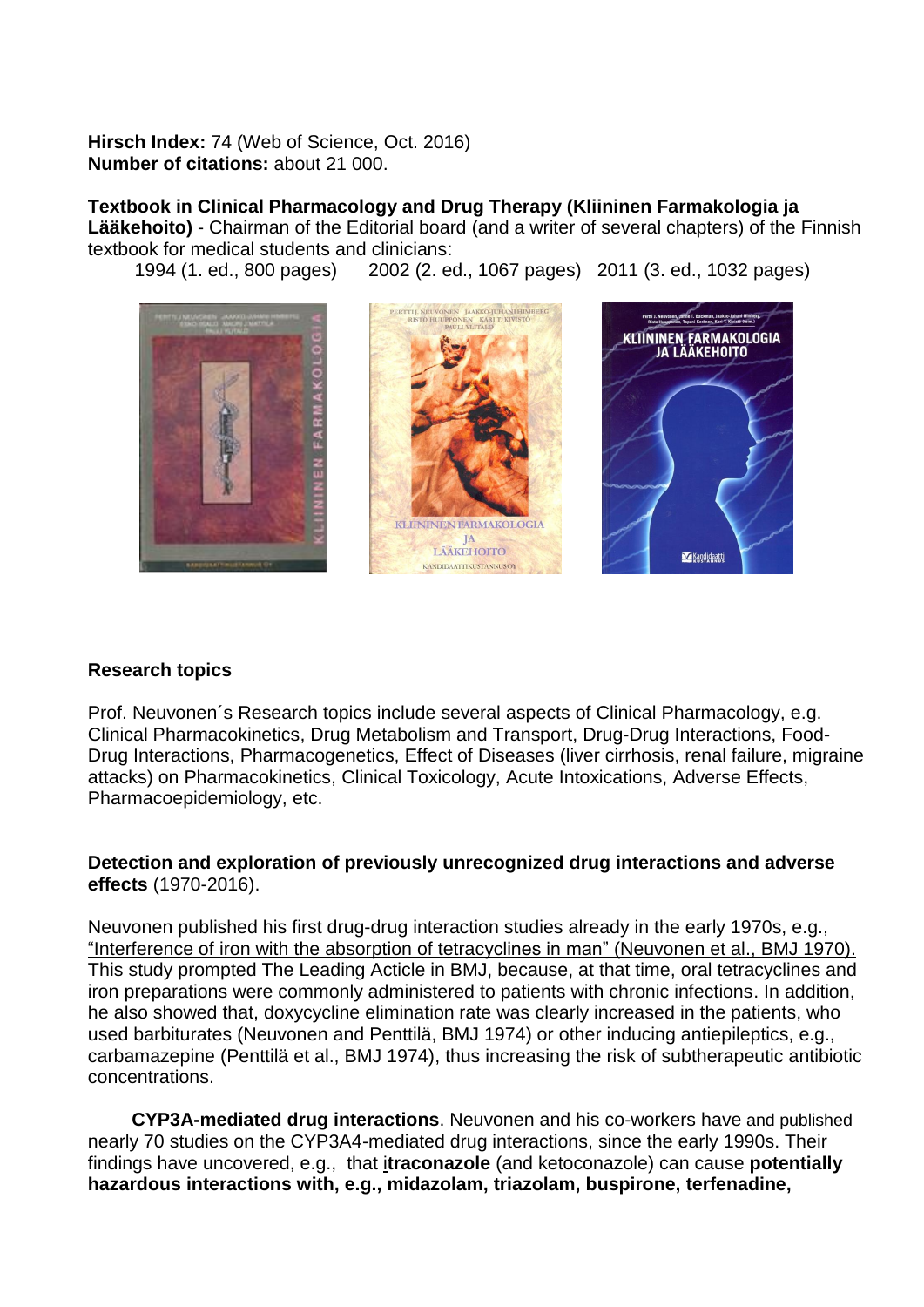**Hirsch Index:** 74 (Web of Science, Oct. 2016) **Number of citations:** about 21 000.

**Textbook in Clinical Pharmacology and Drug Therapy (Kliininen Farmakologia ja Lääkehoito)** - Chairman of the Editorial board (and a writer of several chapters) of the Finnish textbook for medical students and clinicians:

1994 (1. ed., 800 pages) 2002 (2. ed., 1067 pages) 2011 (3. ed., 1032 pages)



#### **Research topics**

Prof. Neuvonen´s Research topics include several aspects of Clinical Pharmacology, e.g. Clinical Pharmacokinetics, Drug Metabolism and Transport, Drug-Drug Interactions, Food-Drug Interactions, Pharmacogenetics, Effect of Diseases (liver cirrhosis, renal failure, migraine attacks) on Pharmacokinetics, Clinical Toxicology, Acute Intoxications, Adverse Effects, Pharmacoepidemiology, etc.

### **Detection and exploration of previously unrecognized drug interactions and adverse effects** (1970-2016).

Neuvonen published his first drug-drug interaction studies already in the early 1970s, e.g., "Interference of iron with the absorption of tetracyclines in man" (Neuvonen et al., BMJ 1970). This study prompted The Leading Acticle in BMJ, because, at that time, oral tetracyclines and iron preparations were commonly administered to patients with chronic infections. In addition, he also showed that, doxycycline elimination rate was clearly increased in the patients, who used barbiturates (Neuvonen and Penttilä, BMJ 1974) or other inducing antiepileptics, e.g., carbamazepine (Penttilä et al., BMJ 1974), thus increasing the risk of subtherapeutic antibiotic concentrations.

**CYP3A-mediated drug interactions**. Neuvonen and his co-workers have and published nearly 70 studies on the CYP3A4-mediated drug interactions, since the early 1990s. Their findings have uncovered, e.g., that i**traconazole** (and ketoconazole) can cause **potentially hazardous interactions with, e.g., midazolam, triazolam, buspirone, terfenadine,**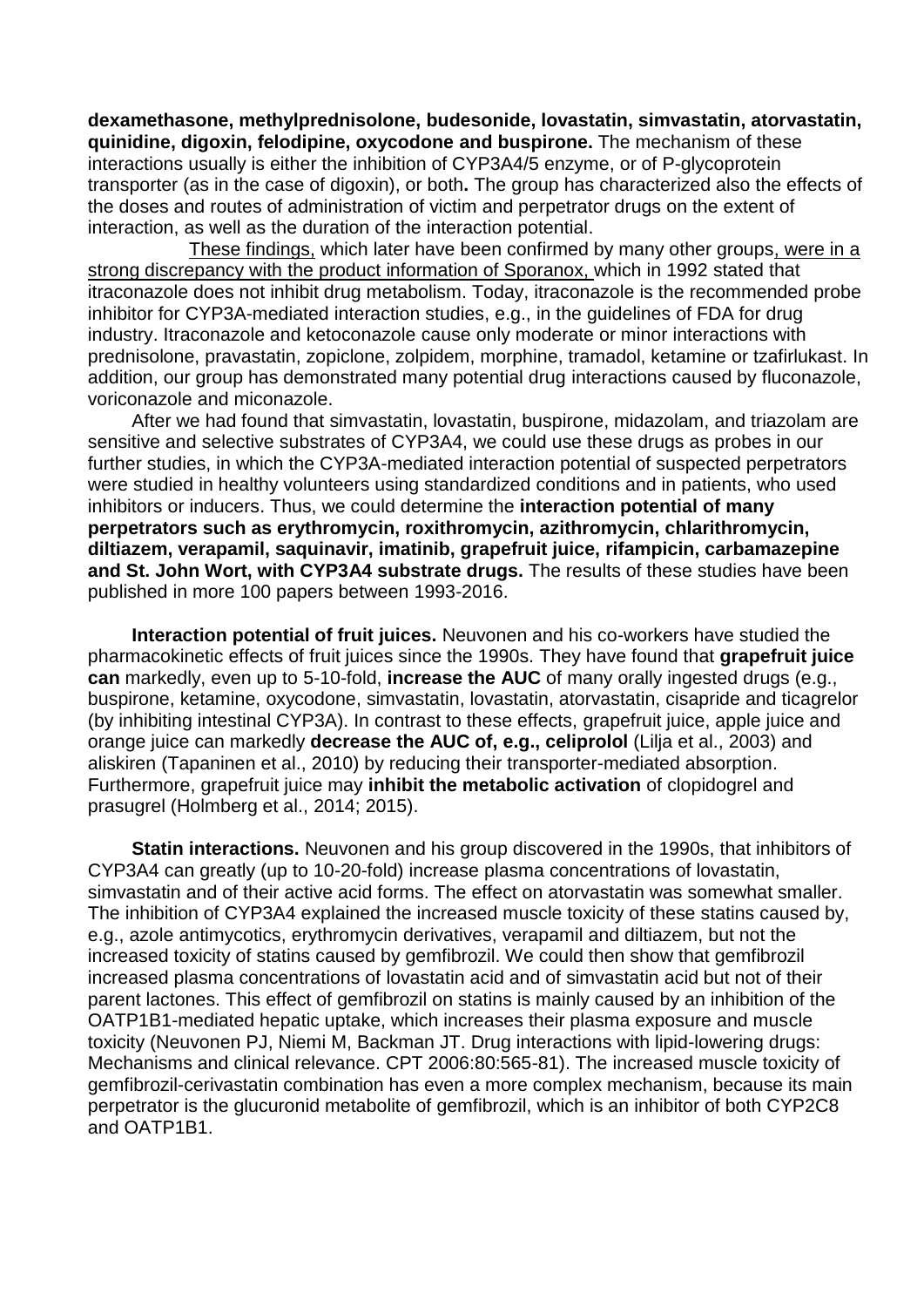**dexamethasone, methylprednisolone, budesonide, lovastatin, simvastatin, atorvastatin, quinidine, digoxin, felodipine, oxycodone and buspirone.** The mechanism of these interactions usually is either the inhibition of CYP3A4/5 enzyme, or of P-glycoprotein transporter (as in the case of digoxin), or both**.** The group has characterized also the effects of the doses and routes of administration of victim and perpetrator drugs on the extent of interaction, as well as the duration of the interaction potential.

These findings, which later have been confirmed by many other groups, were in a strong discrepancy with the product information of Sporanox, which in 1992 stated that itraconazole does not inhibit drug metabolism. Today, itraconazole is the recommended probe inhibitor for CYP3A-mediated interaction studies, e.g., in the guidelines of FDA for drug industry. Itraconazole and ketoconazole cause only moderate or minor interactions with prednisolone, pravastatin, zopiclone, zolpidem, morphine, tramadol, ketamine or tzafirlukast. In addition, our group has demonstrated many potential drug interactions caused by fluconazole, voriconazole and miconazole.

After we had found that simvastatin, lovastatin, buspirone, midazolam, and triazolam are sensitive and selective substrates of CYP3A4, we could use these drugs as probes in our further studies, in which the CYP3A-mediated interaction potential of suspected perpetrators were studied in healthy volunteers using standardized conditions and in patients, who used inhibitors or inducers. Thus, we could determine the **interaction potential of many perpetrators such as erythromycin, roxithromycin, azithromycin, chlarithromycin, diltiazem, verapamil, saquinavir, imatinib, grapefruit juice, rifampicin, carbamazepine and St. John Wort, with CYP3A4 substrate drugs.** The results of these studies have been published in more 100 papers between 1993-2016.

**Interaction potential of fruit juices.** Neuvonen and his co-workers have studied the pharmacokinetic effects of fruit juices since the 1990s. They have found that **grapefruit juice can** markedly, even up to 5-10-fold, **increase the AUC** of many orally ingested drugs (e.g., buspirone, ketamine, oxycodone, simvastatin, lovastatin, atorvastatin, cisapride and ticagrelor (by inhibiting intestinal CYP3A). In contrast to these effects, grapefruit juice, apple juice and orange juice can markedly **decrease the AUC of, e.g., celiprolol** (Lilja et al., 2003) and aliskiren (Tapaninen et al., 2010) by reducing their transporter-mediated absorption. Furthermore, grapefruit juice may **inhibit the metabolic activation** of clopidogrel and prasugrel (Holmberg et al., 2014; 2015).

**Statin interactions.** Neuvonen and his group discovered in the 1990s, that inhibitors of CYP3A4 can greatly (up to 10-20-fold) increase plasma concentrations of lovastatin, simvastatin and of their active acid forms. The effect on atorvastatin was somewhat smaller. The inhibition of CYP3A4 explained the increased muscle toxicity of these statins caused by, e.g., azole antimycotics, erythromycin derivatives, verapamil and diltiazem, but not the increased toxicity of statins caused by gemfibrozil. We could then show that gemfibrozil increased plasma concentrations of lovastatin acid and of simvastatin acid but not of their parent lactones. This effect of gemfibrozil on statins is mainly caused by an inhibition of the OATP1B1-mediated hepatic uptake, which increases their plasma exposure and muscle toxicity (Neuvonen PJ, Niemi M, Backman JT. Drug interactions with lipid-lowering drugs: Mechanisms and clinical relevance. CPT 2006:80:565-81). The increased muscle toxicity of gemfibrozil-cerivastatin combination has even a more complex mechanism, because its main perpetrator is the glucuronid metabolite of gemfibrozil, which is an inhibitor of both CYP2C8 and OATP1B1.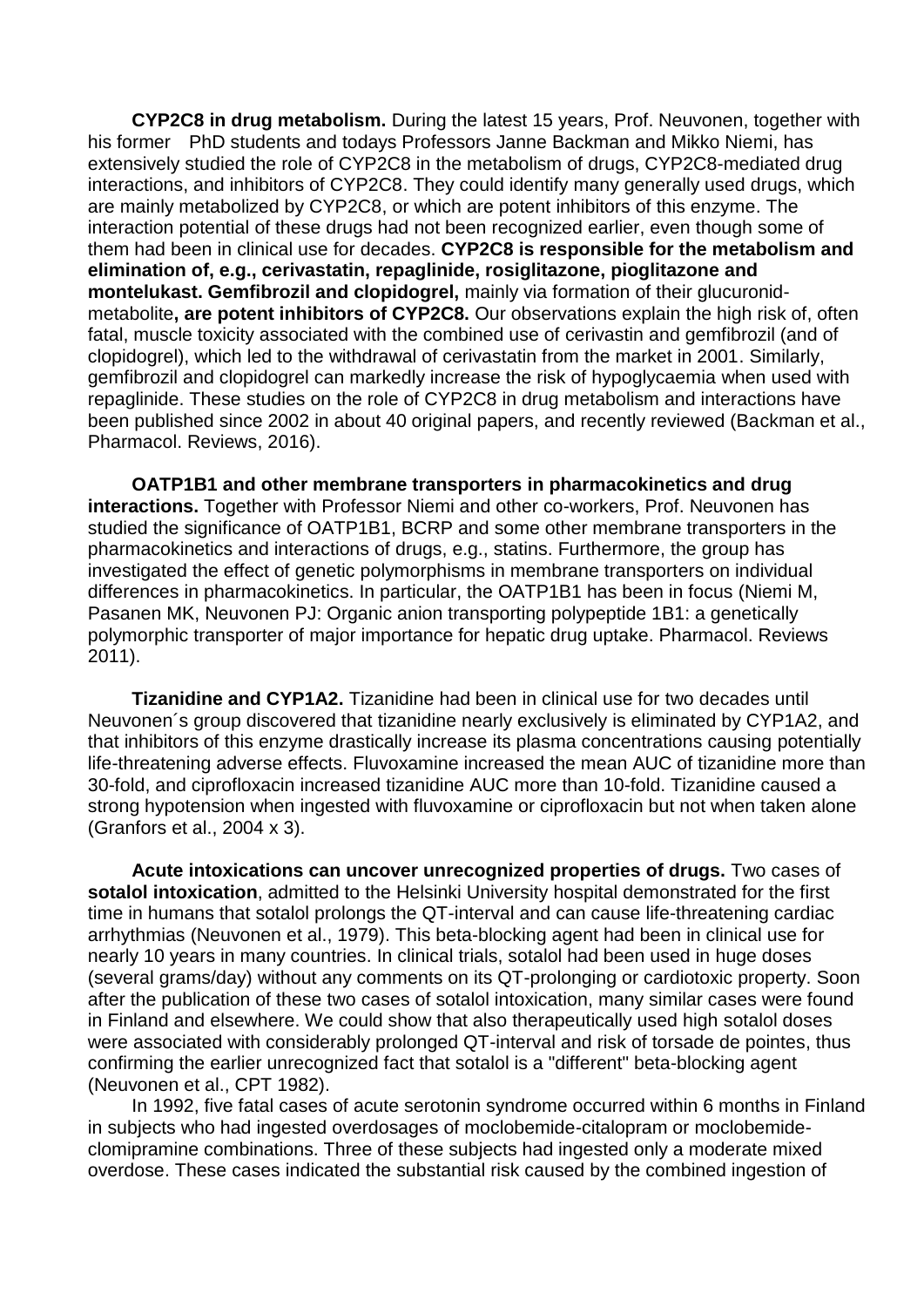**CYP2C8 in drug metabolism.** During the latest 15 years, Prof. Neuvonen, together with his former PhD students and todays Professors Janne Backman and Mikko Niemi, has extensively studied the role of CYP2C8 in the metabolism of drugs, CYP2C8-mediated drug interactions, and inhibitors of CYP2C8. They could identify many generally used drugs, which are mainly metabolized by CYP2C8, or which are potent inhibitors of this enzyme. The interaction potential of these drugs had not been recognized earlier, even though some of them had been in clinical use for decades. **CYP2C8 is responsible for the metabolism and elimination of, e.g., cerivastatin, repaglinide, rosiglitazone, pioglitazone and montelukast. Gemfibrozil and clopidogrel,** mainly via formation of their glucuronidmetabolite**, are potent inhibitors of CYP2C8.** Our observations explain the high risk of, often fatal, muscle toxicity associated with the combined use of cerivastin and gemfibrozil (and of clopidogrel), which led to the withdrawal of cerivastatin from the market in 2001. Similarly, gemfibrozil and clopidogrel can markedly increase the risk of hypoglycaemia when used with repaglinide. These studies on the role of CYP2C8 in drug metabolism and interactions have been published since 2002 in about 40 original papers, and recently reviewed (Backman et al., Pharmacol. Reviews, 2016).

**OATP1B1 and other membrane transporters in pharmacokinetics and drug interactions.** Together with Professor Niemi and other co-workers, Prof. Neuvonen has studied the significance of OATP1B1, BCRP and some other membrane transporters in the pharmacokinetics and interactions of drugs, e.g., statins. Furthermore, the group has investigated the effect of genetic polymorphisms in membrane transporters on individual differences in pharmacokinetics. In particular, the OATP1B1 has been in focus (Niemi M, Pasanen MK, Neuvonen PJ: Organic anion transporting polypeptide 1B1: a genetically polymorphic transporter of major importance for hepatic drug uptake. Pharmacol. Reviews 2011).

**Tizanidine and CYP1A2.** Tizanidine had been in clinical use for two decades until Neuvonen´s group discovered that tizanidine nearly exclusively is eliminated by CYP1A2, and that inhibitors of this enzyme drastically increase its plasma concentrations causing potentially life-threatening adverse effects. Fluvoxamine increased the mean AUC of tizanidine more than 30-fold, and ciprofloxacin increased tizanidine AUC more than 10-fold. Tizanidine caused a strong hypotension when ingested with fluvoxamine or ciprofloxacin but not when taken alone (Granfors et al., 2004 x 3).

**Acute intoxications can uncover unrecognized properties of drugs.** Two cases of **sotalol intoxication**, admitted to the Helsinki University hospital demonstrated for the first time in humans that sotalol prolongs the QT-interval and can cause life-threatening cardiac arrhythmias (Neuvonen et al., 1979). This beta-blocking agent had been in clinical use for nearly 10 years in many countries. In clinical trials, sotalol had been used in huge doses (several grams/day) without any comments on its QT-prolonging or cardiotoxic property. Soon after the publication of these two cases of sotalol intoxication, many similar cases were found in Finland and elsewhere. We could show that also therapeutically used high sotalol doses were associated with considerably prolonged QT-interval and risk of torsade de pointes, thus confirming the earlier unrecognized fact that sotalol is a "different" beta-blocking agent (Neuvonen et al., CPT 1982).

In 1992, five fatal cases of acute serotonin syndrome occurred within 6 months in Finland in subjects who had ingested overdosages of moclobemide-citalopram or moclobemideclomipramine combinations. Three of these subjects had ingested only a moderate mixed overdose. These cases indicated the substantial risk caused by the combined ingestion of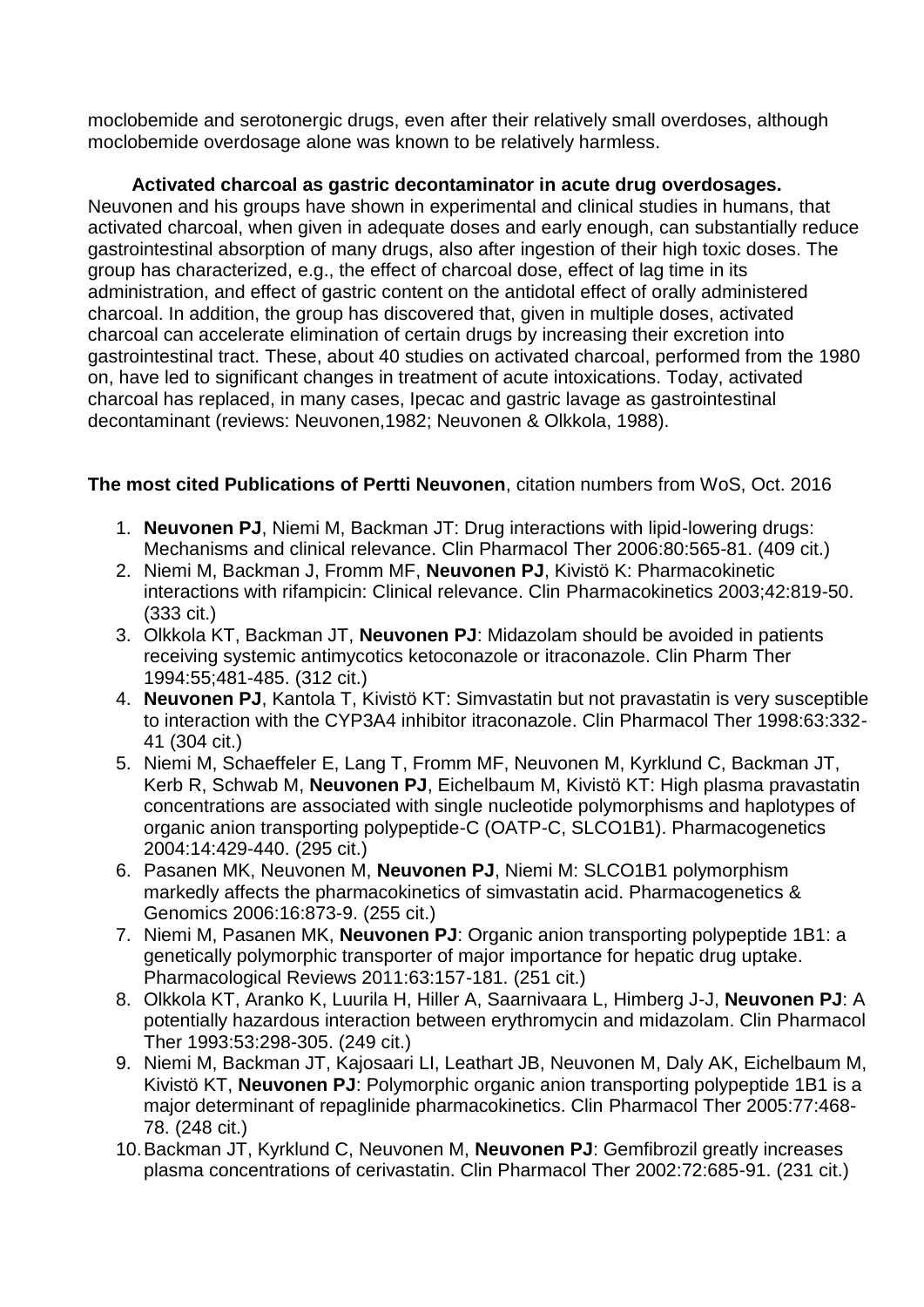moclobemide and serotonergic drugs, even after their relatively small overdoses, although moclobemide overdosage alone was known to be relatively harmless.

**Activated charcoal as gastric decontaminator in acute drug overdosages.**

Neuvonen and his groups have shown in experimental and clinical studies in humans, that activated charcoal, when given in adequate doses and early enough, can substantially reduce gastrointestinal absorption of many drugs, also after ingestion of their high toxic doses. The group has characterized, e.g., the effect of charcoal dose, effect of lag time in its administration, and effect of gastric content on the antidotal effect of orally administered charcoal. In addition, the group has discovered that, given in multiple doses, activated charcoal can accelerate elimination of certain drugs by increasing their excretion into gastrointestinal tract. These, about 40 studies on activated charcoal, performed from the 1980 on, have led to significant changes in treatment of acute intoxications. Today, activated charcoal has replaced, in many cases, Ipecac and gastric lavage as gastrointestinal decontaminant (reviews: Neuvonen,1982; Neuvonen & Olkkola, 1988).

# **The most cited Publications of Pertti Neuvonen**, citation numbers from WoS, Oct. 2016

- 1. **Neuvonen PJ**, Niemi M, Backman JT: Drug interactions with lipid-lowering drugs: Mechanisms and clinical relevance. Clin Pharmacol Ther 2006:80:565-81. (409 cit.)
- 2. Niemi M, Backman J, Fromm MF, **Neuvonen PJ**, Kivistö K: Pharmacokinetic interactions with rifampicin: Clinical relevance. Clin Pharmacokinetics 2003;42:819-50. (333 cit.)
- 3. Olkkola KT, Backman JT, **Neuvonen PJ**: Midazolam should be avoided in patients receiving systemic antimycotics ketoconazole or itraconazole. Clin Pharm Ther 1994:55;481-485. (312 cit.)
- 4. **Neuvonen PJ**, Kantola T, Kivistö KT: Simvastatin but not pravastatin is very susceptible to interaction with the CYP3A4 inhibitor itraconazole. Clin Pharmacol Ther 1998:63:332- 41 (304 cit.)
- 5. Niemi M, Schaeffeler E, Lang T, Fromm MF, Neuvonen M, Kyrklund C, Backman JT, Kerb R, Schwab M, **Neuvonen PJ**, Eichelbaum M, Kivistö KT: High plasma pravastatin concentrations are associated with single nucleotide polymorphisms and haplotypes of organic anion transporting polypeptide-C (OATP-C, SLCO1B1). Pharmacogenetics 2004:14:429-440. (295 cit.)
- 6. Pasanen MK, Neuvonen M, **Neuvonen PJ**, Niemi M: SLCO1B1 polymorphism markedly affects the pharmacokinetics of simvastatin acid. Pharmacogenetics & Genomics 2006:16:873-9. (255 cit.)
- 7. Niemi M, Pasanen MK, **Neuvonen PJ**: Organic anion transporting polypeptide 1B1: a genetically polymorphic transporter of major importance for hepatic drug uptake. Pharmacological Reviews 2011:63:157-181. (251 cit.)
- 8. Olkkola KT, Aranko K, Luurila H, Hiller A, Saarnivaara L, Himberg J-J, **Neuvonen PJ**: A potentially hazardous interaction between erythromycin and midazolam. Clin Pharmacol Ther 1993:53:298-305. (249 cit.)
- 9. Niemi M, Backman JT, Kajosaari LI, Leathart JB, Neuvonen M, Daly AK, Eichelbaum M, Kivistö KT, **Neuvonen PJ**: Polymorphic organic anion transporting polypeptide 1B1 is a major determinant of repaglinide pharmacokinetics. Clin Pharmacol Ther 2005:77:468- 78. (248 cit.)
- 10.Backman JT, Kyrklund C, Neuvonen M, **Neuvonen PJ**: Gemfibrozil greatly increases plasma concentrations of cerivastatin. Clin Pharmacol Ther 2002:72:685-91. (231 cit.)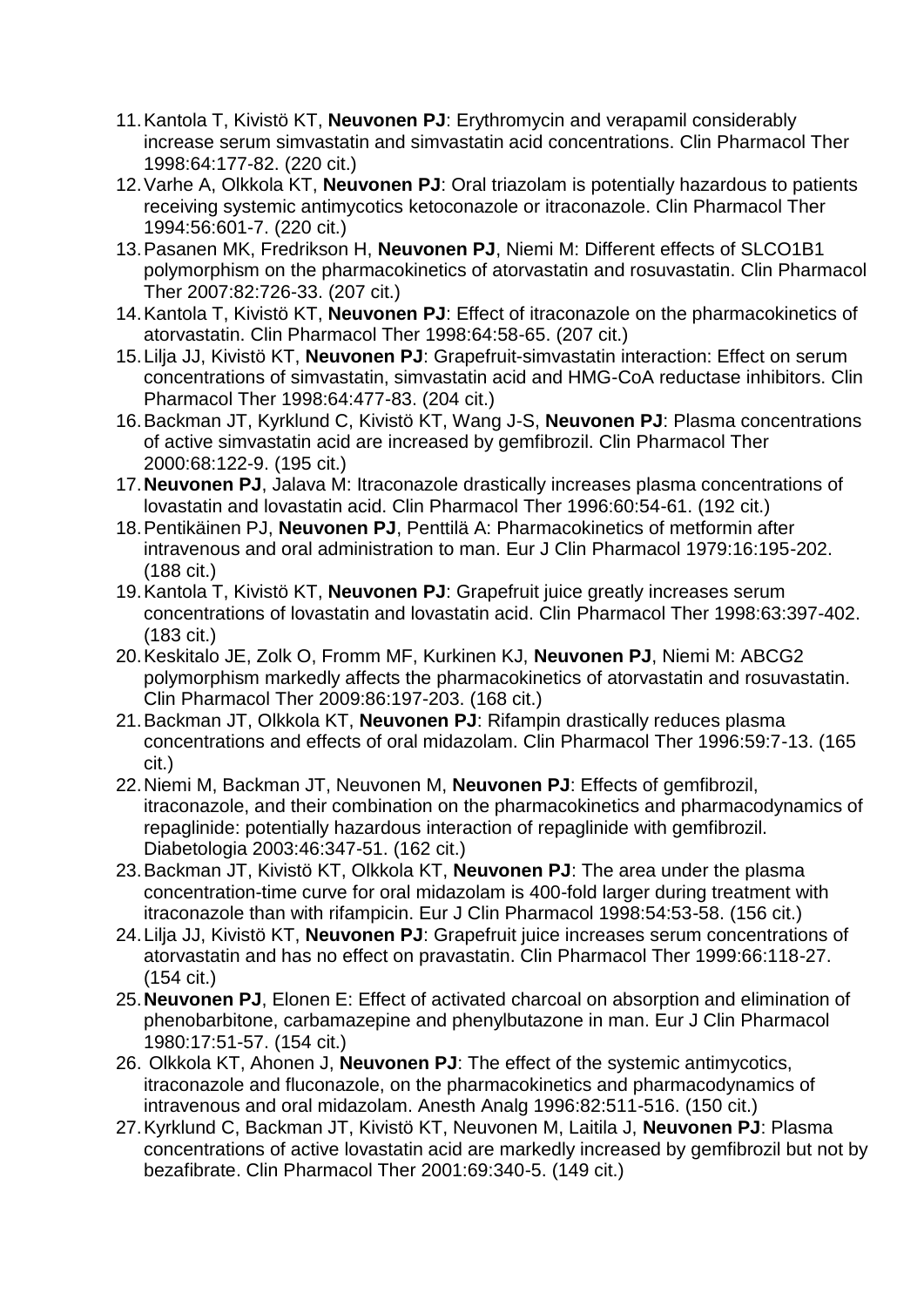- 11.Kantola T, Kivistö KT, **Neuvonen PJ**: Erythromycin and verapamil considerably increase serum simvastatin and simvastatin acid concentrations. Clin Pharmacol Ther 1998:64:177-82. (220 cit.)
- 12.Varhe A, Olkkola KT, **Neuvonen PJ**: Oral triazolam is potentially hazardous to patients receiving systemic antimycotics ketoconazole or itraconazole. Clin Pharmacol Ther 1994:56:601-7. (220 cit.)
- 13.Pasanen MK, Fredrikson H, **Neuvonen PJ**, Niemi M: Different effects of SLCO1B1 polymorphism on the pharmacokinetics of atorvastatin and rosuvastatin. Clin Pharmacol Ther 2007:82:726-33. (207 cit.)
- 14.Kantola T, Kivistö KT, **Neuvonen PJ**: Effect of itraconazole on the pharmacokinetics of atorvastatin. Clin Pharmacol Ther 1998:64:58-65. (207 cit.)
- 15.Lilja JJ, Kivistö KT, **Neuvonen PJ**: Grapefruit-simvastatin interaction: Effect on serum concentrations of simvastatin, simvastatin acid and HMG-CoA reductase inhibitors. Clin Pharmacol Ther 1998:64:477-83. (204 cit.)
- 16.Backman JT, Kyrklund C, Kivistö KT, Wang J-S, **Neuvonen PJ**: Plasma concentrations of active simvastatin acid are increased by gemfibrozil. Clin Pharmacol Ther 2000:68:122-9. (195 cit.)
- 17.**Neuvonen PJ**, Jalava M: Itraconazole drastically increases plasma concentrations of lovastatin and lovastatin acid. Clin Pharmacol Ther 1996:60:54-61. (192 cit.)
- 18.Pentikäinen PJ, **Neuvonen PJ**, Penttilä A: Pharmacokinetics of metformin after intravenous and oral administration to man. Eur J Clin Pharmacol 1979:16:195-202. (188 cit.)
- 19.Kantola T, Kivistö KT, **Neuvonen PJ**: Grapefruit juice greatly increases serum concentrations of lovastatin and lovastatin acid. Clin Pharmacol Ther 1998:63:397-402. (183 cit.)
- 20.Keskitalo JE, Zolk O, Fromm MF, Kurkinen KJ, **Neuvonen PJ**, Niemi M: ABCG2 polymorphism markedly affects the pharmacokinetics of atorvastatin and rosuvastatin. Clin Pharmacol Ther 2009:86:197-203. (168 cit.)
- 21.Backman JT, Olkkola KT, **Neuvonen PJ**: Rifampin drastically reduces plasma concentrations and effects of oral midazolam. Clin Pharmacol Ther 1996:59:7-13. (165 cit.)
- 22.Niemi M, Backman JT, Neuvonen M, **Neuvonen PJ**: Effects of gemfibrozil, itraconazole, and their combination on the pharmacokinetics and pharmacodynamics of repaglinide: potentially hazardous interaction of repaglinide with gemfibrozil. Diabetologia 2003:46:347-51. (162 cit.)
- 23.Backman JT, Kivistö KT, Olkkola KT, **Neuvonen PJ**: The area under the plasma concentration-time curve for oral midazolam is 400-fold larger during treatment with itraconazole than with rifampicin. Eur J Clin Pharmacol 1998:54:53-58. (156 cit.)
- 24.Lilja JJ, Kivistö KT, **Neuvonen PJ**: Grapefruit juice increases serum concentrations of atorvastatin and has no effect on pravastatin. Clin Pharmacol Ther 1999:66:118-27. (154 cit.)
- 25.**Neuvonen PJ**, Elonen E: Effect of activated charcoal on absorption and elimination of phenobarbitone, carbamazepine and phenylbutazone in man. Eur J Clin Pharmacol 1980:17:51-57. (154 cit.)
- 26. Olkkola KT, Ahonen J, **Neuvonen PJ**: The effect of the systemic antimycotics, itraconazole and fluconazole, on the pharmacokinetics and pharmacodynamics of intravenous and oral midazolam. Anesth Analg 1996:82:511-516. (150 cit.)
- 27.Kyrklund C, Backman JT, Kivistö KT, Neuvonen M, Laitila J, **Neuvonen PJ**: Plasma concentrations of active lovastatin acid are markedly increased by gemfibrozil but not by bezafibrate. Clin Pharmacol Ther 2001:69:340-5. (149 cit.)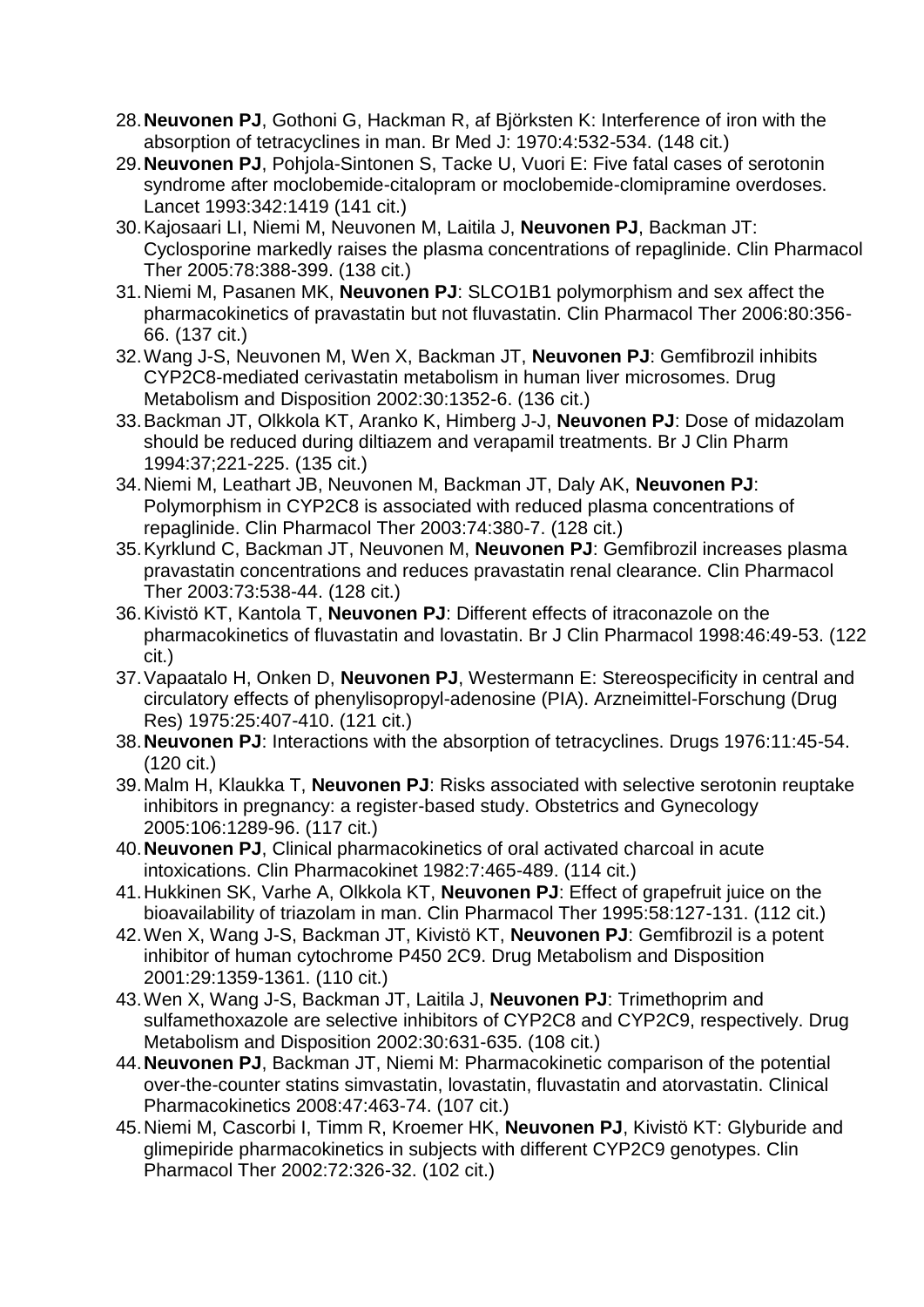- 28.**Neuvonen PJ**, Gothoni G, Hackman R, af Björksten K: Interference of iron with the absorption of tetracyclines in man. Br Med J: 1970:4:532-534. (148 cit.)
- 29.**Neuvonen PJ**, Pohjola-Sintonen S, Tacke U, Vuori E: Five fatal cases of serotonin syndrome after moclobemide-citalopram or moclobemide-clomipramine overdoses. Lancet 1993:342:1419 (141 cit.)
- 30.Kajosaari LI, Niemi M, Neuvonen M, Laitila J, **Neuvonen PJ**, Backman JT: Cyclosporine markedly raises the plasma concentrations of repaglinide. Clin Pharmacol Ther 2005:78:388-399. (138 cit.)
- 31.Niemi M, Pasanen MK, **Neuvonen PJ**: SLCO1B1 polymorphism and sex affect the pharmacokinetics of pravastatin but not fluvastatin. Clin Pharmacol Ther 2006:80:356- 66. (137 cit.)
- 32.Wang J-S, Neuvonen M, Wen X, Backman JT, **Neuvonen PJ**: Gemfibrozil inhibits CYP2C8-mediated cerivastatin metabolism in human liver microsomes. Drug Metabolism and Disposition 2002:30:1352-6. (136 cit.)
- 33.Backman JT, Olkkola KT, Aranko K, Himberg J-J, **Neuvonen PJ**: Dose of midazolam should be reduced during diltiazem and verapamil treatments. Br J Clin Pharm 1994:37;221-225. (135 cit.)
- 34.Niemi M, Leathart JB, Neuvonen M, Backman JT, Daly AK, **Neuvonen PJ**: Polymorphism in CYP2C8 is associated with reduced plasma concentrations of repaglinide. Clin Pharmacol Ther 2003:74:380-7. (128 cit.)
- 35.Kyrklund C, Backman JT, Neuvonen M, **Neuvonen PJ**: Gemfibrozil increases plasma pravastatin concentrations and reduces pravastatin renal clearance. Clin Pharmacol Ther 2003:73:538-44. (128 cit.)
- 36.Kivistö KT, Kantola T, **Neuvonen PJ**: Different effects of itraconazole on the pharmacokinetics of fluvastatin and lovastatin. Br J Clin Pharmacol 1998:46:49-53. (122 cit.)
- 37.Vapaatalo H, Onken D, **Neuvonen PJ**, Westermann E: Stereospecificity in central and circulatory effects of phenylisopropyl-adenosine (PIA). Arzneimittel-Forschung (Drug Res) 1975:25:407-410. (121 cit.)
- 38.**Neuvonen PJ**: Interactions with the absorption of tetracyclines. Drugs 1976:11:45-54. (120 cit.)
- 39.Malm H, Klaukka T, **Neuvonen PJ**: Risks associated with selective serotonin reuptake inhibitors in pregnancy: a register-based study. Obstetrics and Gynecology 2005:106:1289-96. (117 cit.)
- 40.**Neuvonen PJ**, Clinical pharmacokinetics of oral activated charcoal in acute intoxications. Clin Pharmacokinet 1982:7:465-489. (114 cit.)
- 41.Hukkinen SK, Varhe A, Olkkola KT, **Neuvonen PJ**: Effect of grapefruit juice on the bioavailability of triazolam in man. Clin Pharmacol Ther 1995:58:127-131. (112 cit.)
- 42.Wen X, Wang J-S, Backman JT, Kivistö KT, **Neuvonen PJ**: Gemfibrozil is a potent inhibitor of human cytochrome P450 2C9. Drug Metabolism and Disposition 2001:29:1359-1361. (110 cit.)
- 43.Wen X, Wang J-S, Backman JT, Laitila J, **Neuvonen PJ**: Trimethoprim and sulfamethoxazole are selective inhibitors of CYP2C8 and CYP2C9, respectively. Drug Metabolism and Disposition 2002:30:631-635. (108 cit.)
- 44.**Neuvonen PJ**, Backman JT, Niemi M: Pharmacokinetic comparison of the potential over-the-counter statins simvastatin, lovastatin, fluvastatin and atorvastatin. Clinical Pharmacokinetics 2008:47:463-74. (107 cit.)
- 45.Niemi M, Cascorbi I, Timm R, Kroemer HK, **Neuvonen PJ**, Kivistö KT: Glyburide and glimepiride pharmacokinetics in subjects with different CYP2C9 genotypes. Clin Pharmacol Ther 2002:72:326-32. (102 cit.)